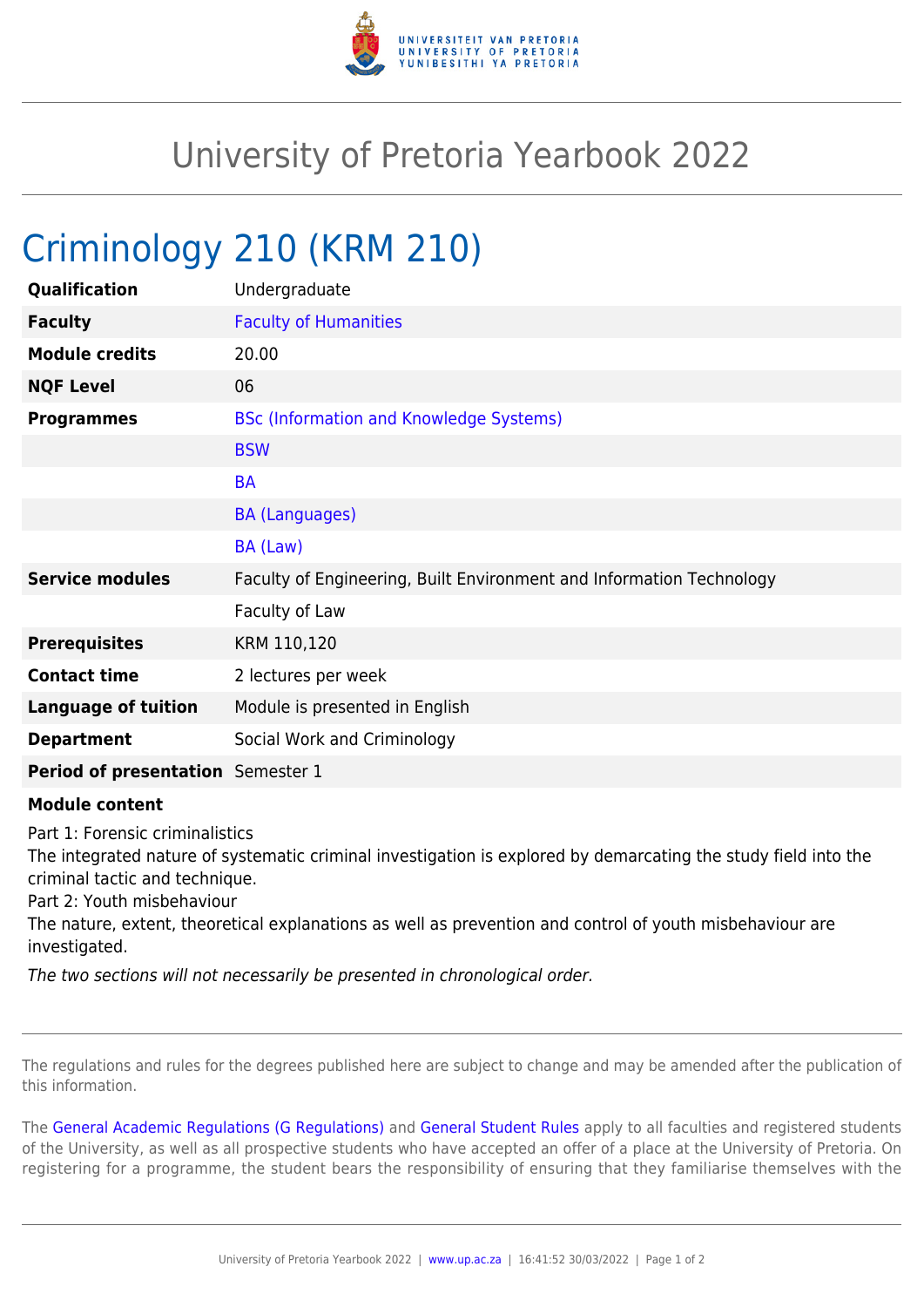

## University of Pretoria Yearbook 2022

## Criminology 210 (KRM 210)

| Qualification                     | Undergraduate                                                        |
|-----------------------------------|----------------------------------------------------------------------|
| <b>Faculty</b>                    | <b>Faculty of Humanities</b>                                         |
| <b>Module credits</b>             | 20.00                                                                |
| <b>NQF Level</b>                  | 06                                                                   |
| <b>Programmes</b>                 | <b>BSc (Information and Knowledge Systems)</b>                       |
|                                   | <b>BSW</b>                                                           |
|                                   | <b>BA</b>                                                            |
|                                   | <b>BA (Languages)</b>                                                |
|                                   | BA (Law)                                                             |
| <b>Service modules</b>            | Faculty of Engineering, Built Environment and Information Technology |
|                                   | Faculty of Law                                                       |
| <b>Prerequisites</b>              | KRM 110,120                                                          |
| <b>Contact time</b>               | 2 lectures per week                                                  |
| <b>Language of tuition</b>        | Module is presented in English                                       |
| <b>Department</b>                 | Social Work and Criminology                                          |
| Period of presentation Semester 1 |                                                                      |

## **Module content**

Part 1: Forensic criminalistics

The integrated nature of systematic criminal investigation is explored by demarcating the study field into the criminal tactic and technique.

Part 2: Youth misbehaviour

The nature, extent, theoretical explanations as well as prevention and control of youth misbehaviour are investigated.

The two sections will not necessarily be presented in chronological order.

The regulations and rules for the degrees published here are subject to change and may be amended after the publication of this information.

The [General Academic Regulations \(G Regulations\)](https://www.up.ac.za/yearbooks/2022/rules/view/REG) and [General Student Rules](https://www.up.ac.za/yearbooks/2022/rules/view/RUL) apply to all faculties and registered students of the University, as well as all prospective students who have accepted an offer of a place at the University of Pretoria. On registering for a programme, the student bears the responsibility of ensuring that they familiarise themselves with the